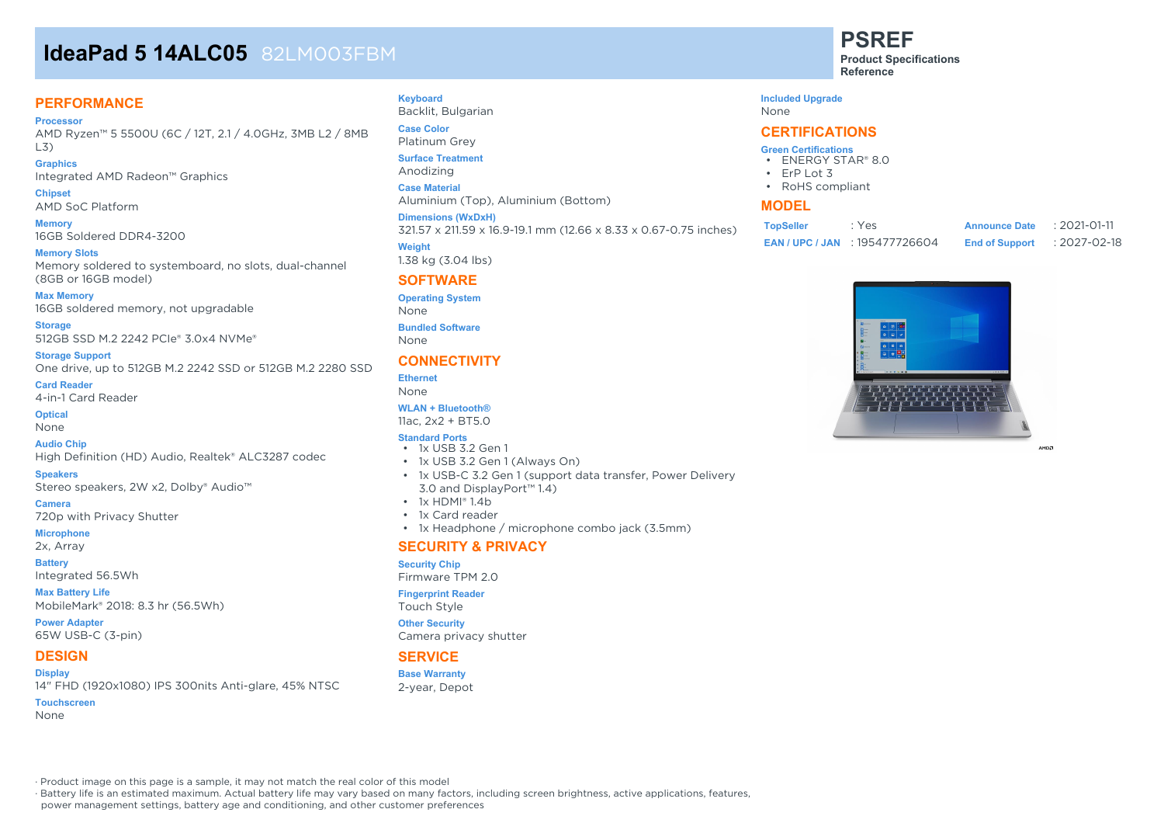# **IdeaPad 5 14ALC05** 82LM003FBM

## **PERFORMANCE**

**Processor** AMD Ryzen™ 5 5500U (6C / 12T, 2.1 / 4.0GHz, 3MB L2 / 8MB L3)

**Graphics** Integrated AMD Radeon™ Graphics

**Chipset** AMD SoC Platform

**Memory** 16GB Soldered DDR4-3200

**Memory Slots** Memory soldered to systemboard, no slots, dual-channel (8GB or 16GB model)

**Max Memory** 16GB soldered memory, not upgradable

**Storage** 512GB SSD M.2 2242 PCIe® 3.0x4 NVMe®

**Storage Support** One drive, up to 512GB M.2 2242 SSD or 512GB M.2 2280 SSD

**Card Reader**

4-in-1 Card Reader

**Optical**

None

**Audio Chip** High Definition (HD) Audio, Realtek® ALC3287 codec

#### **Speakers**

Stereo speakers, 2W x2, Dolby® Audio™

**Camera** 720p with Privacy Shutter

**Microphone**

2x, Array

**Battery** Integrated 56.5Wh

**Max Battery Life** MobileMark® 2018: 8.3 hr (56.5Wh)

**Power Adapter** 65W USB-C (3-pin)

# **DESIGN**

**Display** 14" FHD (1920x1080) IPS 300nits Anti-glare, 45% NTSC **Touchscreen** None

#### **Keyboard**

Backlit, Bulgarian **Case Color**

Platinum Grey **Surface Treatment**

Anodizing

**Case Material**

Aluminium (Top), Aluminium (Bottom)

**Dimensions (WxDxH)**

321.57 x 211.59 x 16.9-19.1 mm (12.66 x 8.33 x 0.67-0.75 inches)

**Weight** 1.38 kg (3.04 lbs)

# **SOFTWARE**

**Operating System**

None

**Bundled Software** None

#### **CONNECTIVITY**

**Ethernet**

None **WLAN + Bluetooth®**

11ac, 2x2 + BT5.0

#### **Standard Ports**

- 1x USB 3.2 Gen 1
- 1x USB 3.2 Gen 1 (Always On)
- 1x USB-C 3.2 Gen 1 (support data transfer, Power Delivery 3.0 and DisplayPort™ 1.4)
- 1x HDMI® 1.4b
- 1x Card reader
- 1x Headphone / microphone combo jack (3.5mm)

#### **SECURITY & PRIVACY**

#### **Security Chip**

Firmware TPM 2.0

#### **Fingerprint Reader**

Touch Style

**Other Security** Camera privacy shutter

### **SERVICE**

**Base Warranty** 2-year, Depot **PSREF**

**Product Specifications Reference**

#### **Included Upgrade**

None

#### **CERTIFICATIONS**

#### **Green Certifications**

- ENERGY STAR® 8.0
- ErP Lot 3
- RoHS compliant

#### **MODEL**

| <b>TopSeller</b> | : Yes                            | <b>Announce Date</b>  | $: 2021 - 01 - 11$ |
|------------------|----------------------------------|-----------------------|--------------------|
|                  | <b>EAN/UPC/JAN: 195477726604</b> | <b>End of Support</b> | :2027-02-18        |



AMDZ

· Product image on this page is a sample, it may not match the real color of this model

· Battery life is an estimated maximum. Actual battery life may vary based on many factors, including screen brightness, active applications, features,

power management settings, battery age and conditioning, and other customer preferences